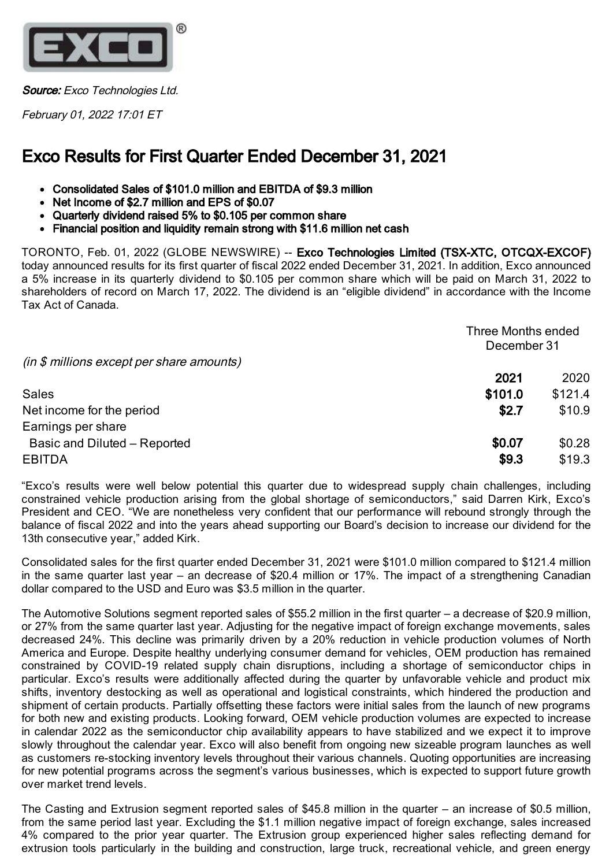

Source: Exco Technologies Ltd.

February 01, 2022 17:01 ET

# Exco Results for First Quarter Ended December 31, 2021

- Consolidated Sales of \$101.0 million and EBITDA of \$9.3 million
- Net Income of \$2.7 million and EPS of \$0.07
- Quarterly dividend raised 5% to \$0.105 per common share
- Financial position and liquidity remain strong with \$11.6 million net cash

TORONTO, Feb. 01, 2022 (GLOBE NEWSWIRE) -- Exco Technologies Limited (TSX-XTC, OTCQX-EXCOF) today announced results for its first quarter of fiscal 2022 ended December 31, 2021. In addition, Exco announced a 5% increase in its quarterly dividend to \$0.105 per common share which will be paid on March 31, 2022 to shareholders of record on March 17, 2022. The dividend is an "eligible dividend" in accordance with the Income Tax Act of Canada.

|                                           | Three Months ended |             |  |
|-------------------------------------------|--------------------|-------------|--|
|                                           |                    | December 31 |  |
| (in \$ millions except per share amounts) |                    |             |  |
|                                           | 2021               | 2020        |  |
| <b>Sales</b>                              | \$101.0            | \$121.4     |  |
| Net income for the period                 | \$2.7              | \$10.9      |  |
| Earnings per share                        |                    |             |  |
| Basic and Diluted - Reported              | \$0.07             | \$0.28      |  |
| <b>EBITDA</b>                             | \$9.3              | \$19.3      |  |

"Exco's results were well below potential this quarter due to widespread supply chain challenges, including constrained vehicle production arising from the global shortage of semiconductors," said Darren Kirk, Exco's President and CEO. "We are nonetheless very confident that our performance will rebound strongly through the balance of fiscal 2022 and into the years ahead supporting our Board's decision to increase our dividend for the 13th consecutive year," added Kirk.

Consolidated sales for the first quarter ended December 31, 2021 were \$101.0 million compared to \$121.4 million in the same quarter last year – an decrease of \$20.4 million or 17%. The impact of a strengthening Canadian dollar compared to the USD and Euro was \$3.5 million in the quarter.

The Automotive Solutions segment reported sales of \$55.2 million in the first quarter – a decrease of \$20.9 million, or 27% from the same quarter last year. Adjusting for the negative impact of foreign exchange movements, sales decreased 24%. This decline was primarily driven by a 20% reduction in vehicle production volumes of North America and Europe. Despite healthy underlying consumer demand for vehicles, OEM production has remained constrained by COVID-19 related supply chain disruptions, including a shortage of semiconductor chips in particular. Exco's results were additionally affected during the quarter by unfavorable vehicle and product mix shifts, inventory destocking as well as operational and logistical constraints, which hindered the production and shipment of certain products. Partially offsetting these factors were initial sales from the launch of new programs for both new and existing products. Looking forward, OEM vehicle production volumes are expected to increase in calendar 2022 as the semiconductor chip availability appears to have stabilized and we expect it to improve slowly throughout the calendar year. Exco will also benefit from ongoing new sizeable program launches as well as customers re-stocking inventory levels throughout their various channels. Quoting opportunities are increasing for new potential programs across the segment's various businesses, which is expected to support future growth over market trend levels.

The Casting and Extrusion segment reported sales of \$45.8 million in the quarter – an increase of \$0.5 million, from the same period last year. Excluding the \$1.1 million negative impact of foreign exchange, sales increased 4% compared to the prior year quarter. The Extrusion group experienced higher sales reflecting demand for extrusion tools particularly in the building and construction, large truck, recreational vehicle, and green energy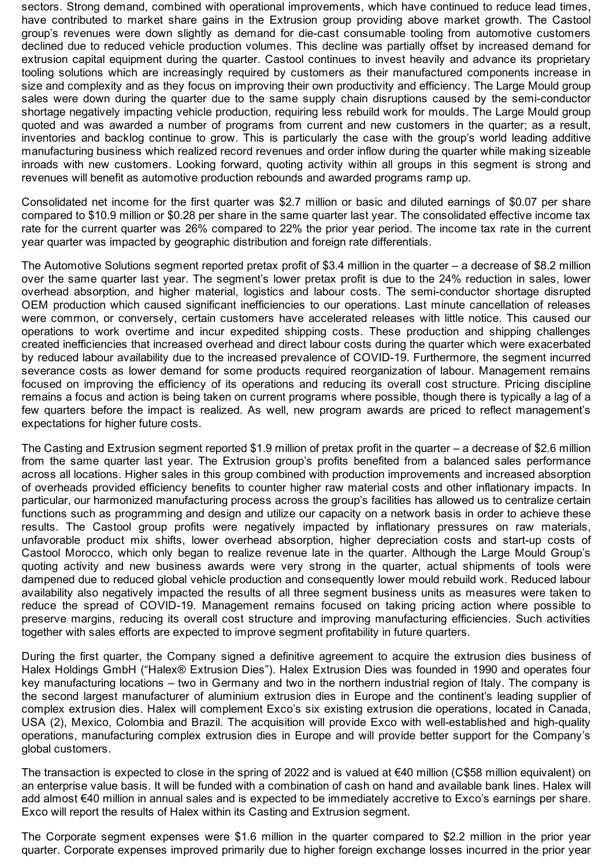sectors. Strong demand, combined with operational improvements, which have continued to reduce lead times, have contributed to market share gains in the Extrusion group providing above market growth. The Castool group's revenues were down slightly as demand for die-cast consumable tooling from automotive customers declined due to reduced vehicle production volumes. This decline was partially offset by increased demand for extrusion capital equipment during the quarter. Castool continues to invest heavily and advance its proprietary tooling solutions which are increasingly required by customers as their manufactured components increase in size and complexity and as they focus on improving their own productivity and efficiency. The Large Mould group sales were down during the quarter due to the same supply chain disruptions caused by the semi-conductor shortage negatively impacting vehicle production, requiring less rebuild work for moulds. The Large Mould group quoted and was awarded a number of programs from current and new customers in the quarter; as a result, inventories and backlog continue to grow. This is particularly the case with the group's world leading additive manufacturing business which realized record revenues and order inflow during the quarter while making sizeable inroads with new customers. Looking forward, quoting activity within all groups in this segment is strong and revenues will benefit as automotive production rebounds and awarded programs ramp up.

Consolidated net income for the first quarter was \$2.7 million or basic and diluted earnings of \$0.07 per share compared to \$10.9 million or \$0.28 per share in the same quarter last year. The consolidated effective income tax rate for the current quarter was 26% compared to 22% the prior year period. The income tax rate in the current year quarter was impacted by geographic distribution and foreign rate differentials.

The Automotive Solutions segment reported pretax profit of \$3.4 million in the quarter – a decrease of \$8.2 million over the same quarter last year. The segment's lower pretax profit is due to the 24% reduction in sales, lower overhead absorption, and higher material, logistics and labour costs. The semi-conductor shortage disrupted OEM production which caused significant inefficiencies to our operations. Last minute cancellation of releases were common, or conversely, certain customers have accelerated releases with little notice. This caused our operations to work overtime and incur expedited shipping costs. These production and shipping challenges created inefficiencies that increased overhead and direct labour costs during the quarter which were exacerbated by reduced labour availability due to the increased prevalence of COVID-19. Furthermore, the segment incurred severance costs as lower demand for some products required reorganization of labour. Management remains focused on improving the efficiency of its operations and reducing its overall cost structure. Pricing discipline remains a focus and action is being taken on current programs where possible, though there is typically a lag of a few quarters before the impact is realized. As well, new program awards are priced to reflect management's expectations for higher future costs.

The Casting and Extrusion segment reported \$1.9 million of pretax profit in the quarter – a decrease of \$2.6 million from the same quarter last year. The Extrusion group's profits benefited from a balanced sales performance across all locations. Higher sales in this group combined with production improvements and increased absorption of overheads provided efficiency benefits to counter higher raw material costs and other inflationary impacts. In particular, our harmonized manufacturing process across the group's facilities has allowed us to centralize certain functions such as programming and design and utilize our capacity on a network basis in order to achieve these results. The Castool group profits were negatively impacted by inflationary pressures on raw materials, unfavorable product mix shifts, lower overhead absorption, higher depreciation costs and start-up costs of Castool Morocco, which only began to realize revenue late in the quarter. Although the Large Mould Group's quoting activity and new business awards were very strong in the quarter, actual shipments of tools were dampened due to reduced global vehicle production and consequently lower mould rebuild work. Reduced labour availability also negatively impacted the results of all three segment business units as measures were taken to reduce the spread of COVID-19. Management remains focused on taking pricing action where possible to preserve margins, reducing its overall cost structure and improving manufacturing efficiencies. Such activities together with sales efforts are expected to improve segment profitability in future quarters.

During the first quarter, the Company signed a definitive agreement to acquire the extrusion dies business of Halex Holdings GmbH ("Halex® Extrusion Dies"). Halex Extrusion Dies was founded in 1990 and operates four key manufacturing locations – two in Germany and two in the northern industrial region of Italy. The company is the second largest manufacturer of aluminium extrusion dies in Europe and the continent's leading supplier of complex extrusion dies. Halex will complement Exco's six existing extrusion die operations, located in Canada, USA (2), Mexico, Colombia and Brazil. The acquisition will provide Exco with well-established and high-quality operations, manufacturing complex extrusion dies in Europe and will provide better support for the Company's global customers.

The transaction is expected to close in the spring of 2022 and is valued at  $\epsilon$ 40 million (C\$58 million equivalent) on an enterprise value basis. It will be funded with a combination of cash on hand and available bank lines. Halex will add almost €40 million in annual sales and is expected to be immediately accretive to Exco's earnings per share. Exco will report the results of Halex within its Casting and Extrusion segment.

The Corporate segment expenses were \$1.6 million in the quarter compared to \$2.2 million in the prior year quarter. Corporate expenses improved primarily due to higher foreign exchange losses incurred in the prior year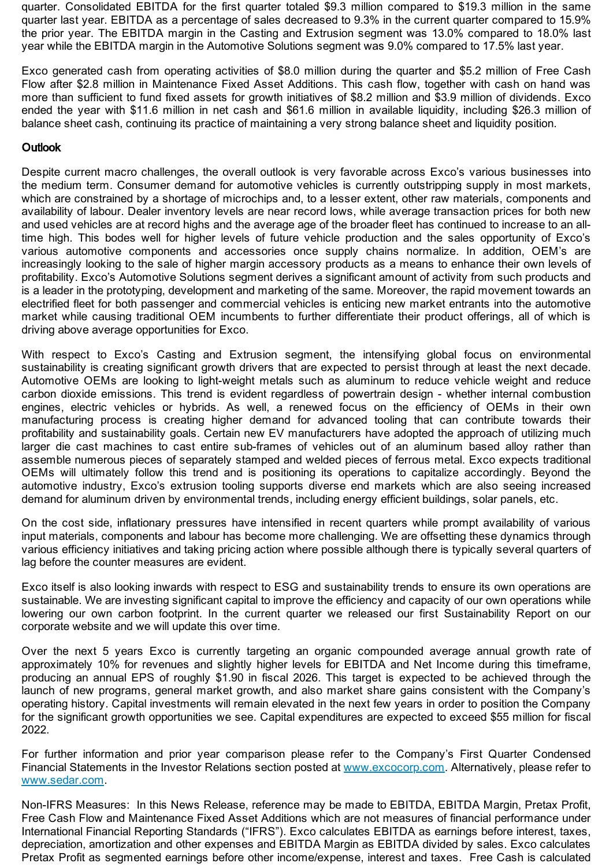quarter. Consolidated EBITDA for the first quarter totaled \$9.3 million compared to \$19.3 million in the same quarter last year. EBITDA as a percentage of sales decreased to 9.3% in the current quarter compared to 15.9% the prior year. The EBITDA margin in the Casting and Extrusion segment was 13.0% compared to 18.0% last year while the EBITDA margin in the Automotive Solutions segment was 9.0% compared to 17.5% last year.

Exco generated cash from operating activities of \$8.0 million during the quarter and \$5.2 million of Free Cash Flow after \$2.8 million in Maintenance Fixed Asset Additions. This cash flow, together with cash on hand was more than sufficient to fund fixed assets for growth initiatives of \$8.2 million and \$3.9 million of dividends. Exco ended the year with \$11.6 million in net cash and \$61.6 million in available liquidity, including \$26.3 million of balance sheet cash, continuing its practice of maintaining a very strong balance sheet and liquidity position.

## **Outlook**

Despite current macro challenges, the overall outlook is very favorable across Exco's various businesses into the medium term. Consumer demand for automotive vehicles is currently outstripping supply in most markets, which are constrained by a shortage of microchips and, to a lesser extent, other raw materials, components and availability of labour. Dealer inventory levels are near record lows, while average transaction prices for both new and used vehicles are at record highs and the average age of the broader fleet has continued to increase to an alltime high. This bodes well for higher levels of future vehicle production and the sales opportunity of Exco's various automotive components and accessories once supply chains normalize. In addition, OEM's are increasingly looking to the sale of higher margin accessory products as a means to enhance their own levels of profitability. Exco's Automotive Solutions segment derives a significant amount of activity from such products and is a leader in the prototyping, development and marketing of the same. Moreover, the rapid movement towards an electrified fleet for both passenger and commercial vehicles is enticing new market entrants into the automotive market while causing traditional OEM incumbents to further differentiate their product offerings, all of which is driving above average opportunities for Exco.

With respect to Exco's Casting and Extrusion segment, the intensifying global focus on environmental sustainability is creating significant growth drivers that are expected to persist through at least the next decade. Automotive OEMs are looking to light-weight metals such as aluminum to reduce vehicle weight and reduce carbon dioxide emissions. This trend is evident regardless of powertrain design - whether internal combustion engines, electric vehicles or hybrids. As well, a renewed focus on the efficiency of OEMs in their own manufacturing process is creating higher demand for advanced tooling that can contribute towards their profitability and sustainability goals. Certain new EV manufacturers have adopted the approach of utilizing much larger die cast machines to cast entire sub-frames of vehicles out of an aluminum based alloy rather than assemble numerous pieces of separately stamped and welded pieces of ferrous metal. Exco expects traditional OEMs will ultimately follow this trend and is positioning its operations to capitalize accordingly. Beyond the automotive industry, Exco's extrusion tooling supports diverse end markets which are also seeing increased demand for aluminum driven by environmental trends, including energy efficient buildings, solar panels, etc.

On the cost side, inflationary pressures have intensified in recent quarters while prompt availability of various input materials, components and labour has become more challenging. We are offsetting these dynamics through various efficiency initiatives and taking pricing action where possible although there is typically several quarters of lag before the counter measures are evident.

Exco itself is also looking inwards with respect to ESG and sustainability trends to ensure its own operations are sustainable. We are investing significant capital to improve the efficiency and capacity of our own operations while lowering our own carbon footprint. In the current quarter we released our first Sustainability Report on our corporate website and we will update this over time.

Over the next 5 years Exco is currently targeting an organic compounded average annual growth rate of approximately 10% for revenues and slightly higher levels for EBITDA and Net Income during this timeframe, producing an annual EPS of roughly \$1.90 in fiscal 2026. This target is expected to be achieved through the launch of new programs, general market growth, and also market share gains consistent with the Company's operating history. Capital investments will remain elevated in the next few years in order to position the Company for the significant growth opportunities we see. Capital expenditures are expected to exceed \$55 million for fiscal 2022.

For further information and prior year comparison please refer to the Company's First Quarter Condensed Financial Statements in the Investor Relations section posted at [www.excocorp.com](https://www.globenewswire.com/Tracker?data=dmTzHHwbKKwSixLMkhnkkSxibHohVTtoDn3le7sEDE2XcPer4jeou2v-m4nwGhD5U4Fy7GSY_dCB7DEMLRMf9g==). Alternatively, please refer to [www.sedar.com](https://www.globenewswire.com/Tracker?data=rO9Vb8H-nq0shJUPKXeZj-iiuINa2qvmtbLAPPcrpAtovkLOH1b12KgDJ_8QM8oBDH7qTLeUGd0rxIOCI_Bh3w==).

Non-IFRS Measures: In this News Release, reference may be made to EBITDA, EBITDA Margin, Pretax Profit, Free Cash Flow and Maintenance Fixed Asset Additions which are not measures of financial performance under International Financial Reporting Standards ("IFRS"). Exco calculates EBITDA as earnings before interest, taxes, depreciation, amortization and other expenses and EBITDA Margin as EBITDA divided by sales. Exco calculates Pretax Profit as segmented earnings before other income/expense, interest and taxes. Free Cash is calculated